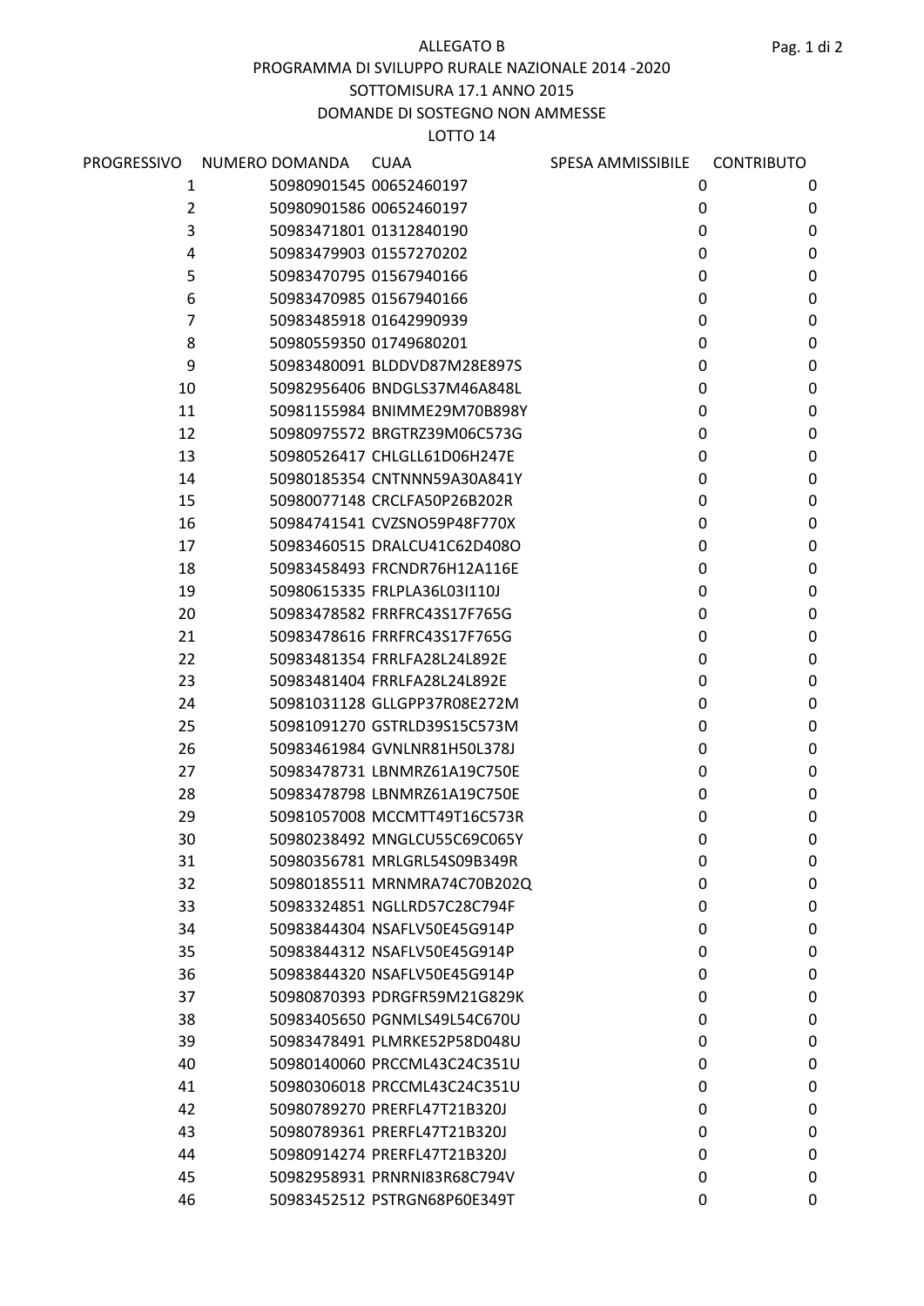ALLEGATO B

#### PROGRAMMA DI SVILUPPO RURALE NAZIONALE 2014 -2020

SOTTOMISURA 17.1 ANNO 2015

# DOMANDE DI SOSTEGNO NON AMMESSE

### LOTTO 14

| PROGRESSIVO | NUMERO DOMANDA | <b>CUAA</b>                  | SPESA AMMISSIBILE | <b>CONTRIBUTO</b> |  |
|-------------|----------------|------------------------------|-------------------|-------------------|--|
| 1           |                | 50980901545 00652460197      | 0                 | 0                 |  |
| 2           |                | 50980901586 00652460197      | 0                 | 0                 |  |
| 3           |                | 50983471801 01312840190      | 0                 | 0                 |  |
| 4           |                | 50983479903 01557270202      | 0                 | 0                 |  |
| 5           |                | 50983470795 01567940166      | 0                 | 0                 |  |
| 6           |                | 50983470985 01567940166      | 0                 | 0                 |  |
| 7           |                | 50983485918 01642990939      | 0                 | 0                 |  |
| 8           |                | 50980559350 01749680201      | 0                 | 0                 |  |
| 9           |                | 50983480091 BLDDVD87M28E897S | 0                 | 0                 |  |
| 10          |                | 50982956406 BNDGLS37M46A848L | 0                 | 0                 |  |
| 11          |                | 50981155984 BNIMME29M70B898Y | 0                 | 0                 |  |
| 12          |                | 50980975572 BRGTRZ39M06C573G | 0                 | 0                 |  |
| 13          |                | 50980526417 CHLGLL61D06H247E | 0                 | 0                 |  |
| 14          |                | 50980185354 CNTNNN59A30A841Y | 0                 | 0                 |  |
| 15          |                | 50980077148 CRCLFA50P26B202R | 0                 | 0                 |  |
| 16          |                | 50984741541 CVZSNO59P48F770X | 0                 | 0                 |  |
| 17          |                | 50983460515 DRALCU41C62D408O | 0                 | $\pmb{0}$         |  |
| 18          |                | 50983458493 FRCNDR76H12A116E | 0                 | 0                 |  |
| 19          |                | 50980615335 FRLPLA36L03I110J | 0                 | 0                 |  |
| 20          |                | 50983478582 FRRFRC43S17F765G | 0                 | 0                 |  |
| 21          |                | 50983478616 FRRFRC43S17F765G | 0                 | 0                 |  |
| 22          |                | 50983481354 FRRLFA28L24L892E | 0                 | $\mathbf 0$       |  |
| 23          |                | 50983481404 FRRLFA28L24L892E | 0                 | 0                 |  |
| 24          |                | 50981031128 GLLGPP37R08E272M | 0                 | 0                 |  |
| 25          |                | 50981091270 GSTRLD39S15C573M | 0                 | 0                 |  |
| 26          |                | 50983461984 GVNLNR81H50L378J | 0                 | 0                 |  |
| 27          |                | 50983478731 LBNMRZ61A19C750E | 0                 | 0                 |  |
| 28          |                | 50983478798 LBNMRZ61A19C750E | 0                 | 0                 |  |
| 29          |                | 50981057008 MCCMTT49T16C573R | 0                 | 0                 |  |
| 30          |                | 50980238492 MNGLCU55C69C065Y | 0                 | 0                 |  |
| 31          |                | 50980356781 MRLGRL54S09B349R | 0                 | 0                 |  |
| 32          |                | 50980185511 MRNMRA74C70B202Q | 0                 | 0                 |  |
| 33          |                | 50983324851 NGLLRD57C28C794F | 0                 | 0                 |  |
| 34          |                | 50983844304 NSAFLV50E45G914P | 0                 | 0                 |  |
| 35          |                | 50983844312 NSAFLV50E45G914P | 0                 | 0                 |  |
| 36          |                | 50983844320 NSAFLV50E45G914P | 0                 | 0                 |  |
| 37          |                | 50980870393 PDRGFR59M21G829K | 0                 | 0                 |  |
| 38          |                | 50983405650 PGNMLS49L54C670U | 0                 | 0                 |  |
| 39          |                | 50983478491 PLMRKE52P58D048U | 0                 | 0                 |  |
| 40          |                | 50980140060 PRCCML43C24C351U | 0                 | 0                 |  |
| 41          |                | 50980306018 PRCCML43C24C351U | 0                 | 0                 |  |
| 42          |                | 50980789270 PRERFL47T21B320J | 0                 | 0                 |  |
| 43          |                | 50980789361 PRERFL47T21B320J | 0                 | 0                 |  |
| 44          |                | 50980914274 PRERFL47T21B320J | 0                 | 0                 |  |
| 45          |                | 50982958931 PRNRNI83R68C794V | 0                 | 0                 |  |
| 46          |                | 50983452512 PSTRGN68P60E349T | 0                 | 0                 |  |